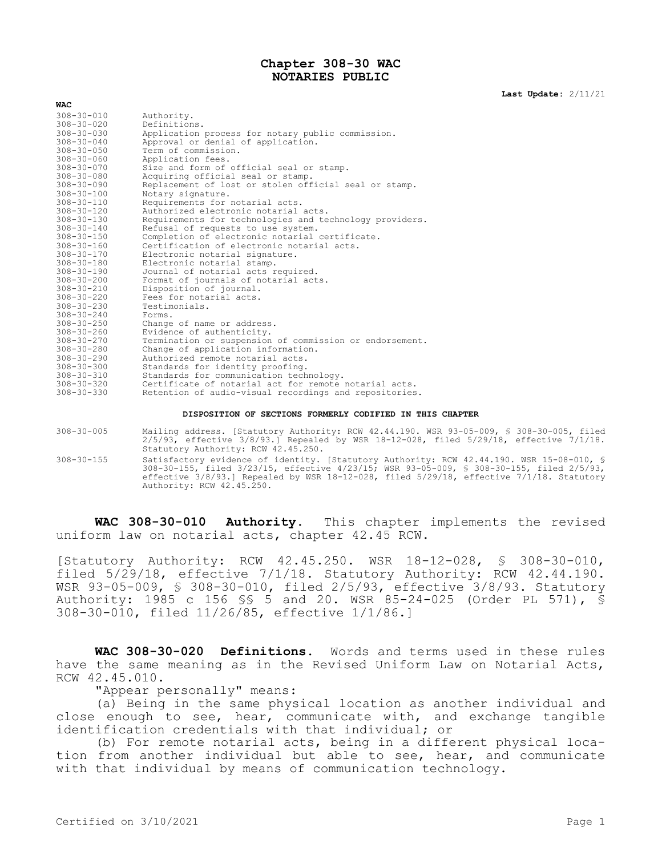## **Chapter 308-30 WAC NOTARIES PUBLIC**

**Last Update:** 2/11/21

| $308 - 30 - 010$ | Authority.                                              |
|------------------|---------------------------------------------------------|
| $308 - 30 - 020$ | Definitions.                                            |
| $308 - 30 - 030$ | Application process for notary public commission.       |
| $308 - 30 - 040$ | Approval or denial of application.                      |
| $308 - 30 - 050$ | Term of commission.                                     |
| $308 - 30 - 060$ | Application fees.                                       |
| $308 - 30 - 070$ | Size and form of official seal or stamp.                |
| $308 - 30 - 080$ | Acquiring official seal or stamp.                       |
| $308 - 30 - 090$ | Replacement of lost or stolen official seal or stamp.   |
| $308 - 30 - 100$ | Notary signature.                                       |
| $308 - 30 - 110$ | Requirements for notarial acts.                         |
| $308 - 30 - 120$ | Authorized electronic notarial acts.                    |
| $308 - 30 - 130$ | Requirements for technologies and technology providers. |
| $308 - 30 - 140$ | Refusal of requests to use system.                      |
| $308 - 30 - 150$ | Completion of electronic notarial certificate.          |
| $308 - 30 - 160$ | Certification of electronic notarial acts.              |
| $308 - 30 - 170$ | Electronic notarial signature.                          |
| $308 - 30 - 180$ | Electronic notarial stamp.                              |
| $308 - 30 - 190$ | Journal of notarial acts required.                      |
| $308 - 30 - 200$ | Format of journals of notarial acts.                    |
| $308 - 30 - 210$ | Disposition of journal.                                 |
| $308 - 30 - 220$ | Fees for notarial acts.                                 |
| $308 - 30 - 230$ | Testimonials.                                           |
| $308 - 30 - 240$ | Forms.                                                  |
| $308 - 30 - 250$ | Change of name or address.                              |
| $308 - 30 - 260$ | Evidence of authenticity.                               |
| $308 - 30 - 270$ | Termination or suspension of commission or endorsement. |
| $308 - 30 - 280$ | Change of application information.                      |
| $308 - 30 - 290$ | Authorized remote notarial acts.                        |
| $308 - 30 - 300$ | Standards for identity proofing.                        |
| $308 - 30 - 310$ | Standards for communication technology.                 |
| $308 - 30 - 320$ | Certificate of notarial act for remote notarial acts.   |
| $308 - 30 - 330$ | Retention of audio-visual recordings and repositories.  |
|                  |                                                         |

## **DISPOSITION OF SECTIONS FORMERLY CODIFIED IN THIS CHAPTER**

- 308-30-005 Mailing address. [Statutory Authority: RCW 42.44.190. WSR 93-05-009, § 308-30-005, filed 2/5/93, effective 3/8/93.] Repealed by WSR 18-12-028, filed 5/29/18, effective 7/1/18. Statutory Authority: RCW 42.45.250.
- 308-30-155 Satisfactory evidence of identity. [Statutory Authority: RCW 42.44.190. WSR 15-08-010, § 308-30-155, filed 3/23/15, effective 4/23/15; WSR 93-05-009, § 308-30-155, filed 2/5/93, effective 3/8/93.] Repealed by WSR 18-12-028, filed 5/29/18, effective 7/1/18. Statutory Authority: RCW 42.45.250.

**WAC 308-30-010 Authority.** This chapter implements the revised uniform law on notarial acts, chapter 42.45 RCW.

[Statutory Authority: RCW 42.45.250. WSR 18-12-028, § 308-30-010, filed 5/29/18, effective 7/1/18. Statutory Authority: RCW 42.44.190. WSR 93-05-009, § 308-30-010, filed 2/5/93, effective 3/8/93. Statutory Authority: 1985 c 156 §§ 5 and 20. WSR 85-24-025 (Order PL 571), § 308-30-010, filed 11/26/85, effective 1/1/86.]

**WAC 308-30-020 Definitions.** Words and terms used in these rules have the same meaning as in the Revised Uniform Law on Notarial Acts, RCW 42.45.010.

"Appear personally" means:

(a) Being in the same physical location as another individual and close enough to see, hear, communicate with, and exchange tangible identification credentials with that individual; or

(b) For remote notarial acts, being in a different physical location from another individual but able to see, hear, and communicate with that individual by means of communication technology.

**WAC**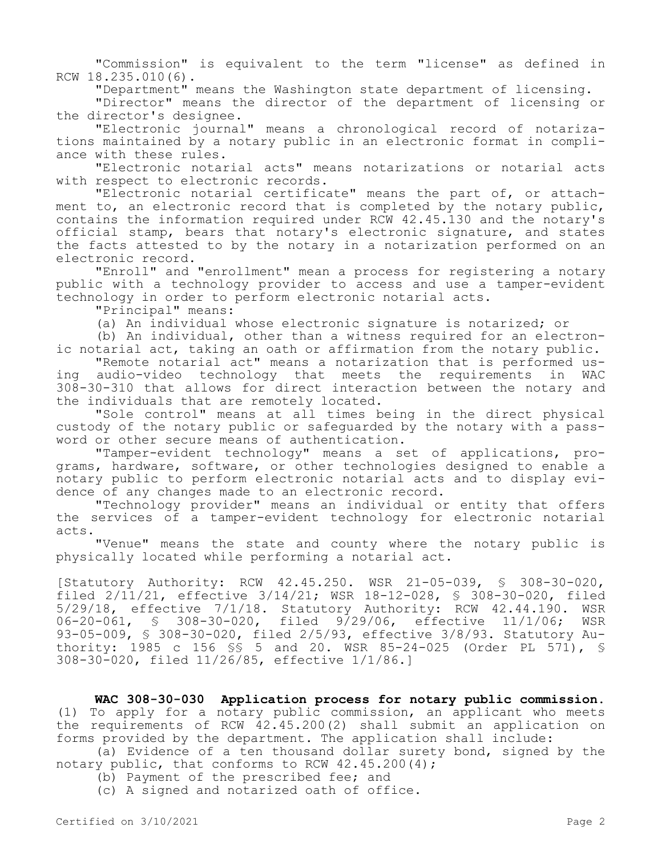"Commission" is equivalent to the term "license" as defined in RCW 18.235.010(6).

"Department" means the Washington state department of licensing.

"Director" means the director of the department of licensing or the director's designee.

"Electronic journal" means a chronological record of notarizations maintained by a notary public in an electronic format in compliance with these rules.

"Electronic notarial acts" means notarizations or notarial acts with respect to electronic records.

"Electronic notarial certificate" means the part of, or attachment to, an electronic record that is completed by the notary public, contains the information required under RCW 42.45.130 and the notary's official stamp, bears that notary's electronic signature, and states the facts attested to by the notary in a notarization performed on an electronic record.

"Enroll" and "enrollment" mean a process for registering a notary public with a technology provider to access and use a tamper-evident technology in order to perform electronic notarial acts.

"Principal" means:

(a) An individual whose electronic signature is notarized; or

(b) An individual, other than a witness required for an electronic notarial act, taking an oath or affirmation from the notary public.

"Remote notarial act" means a notarization that is performed using audio-video technology that meets the requirements in WAC 308-30-310 that allows for direct interaction between the notary and the individuals that are remotely located.

"Sole control" means at all times being in the direct physical custody of the notary public or safeguarded by the notary with a password or other secure means of authentication.

"Tamper-evident technology" means a set of applications, programs, hardware, software, or other technologies designed to enable a notary public to perform electronic notarial acts and to display evidence of any changes made to an electronic record.

"Technology provider" means an individual or entity that offers the services of a tamper-evident technology for electronic notarial acts.

"Venue" means the state and county where the notary public is physically located while performing a notarial act.

[Statutory Authority: RCW 42.45.250. WSR 21-05-039, § 308-30-020, filed 2/11/21, effective 3/14/21; WSR 18-12-028, § 308-30-020, filed 5/29/18, effective 7/1/18. Statutory Authority: RCW 42.44.190. WSR 06-20-061, § 308-30-020, filed 9/29/06, effective 11/1/06; WSR 93-05-009, § 308-30-020, filed 2/5/93, effective 3/8/93. Statutory Authority: 1985 c 156 §§ 5 and 20. WSR 85-24-025 (Order PL 571), § 308-30-020, filed 11/26/85, effective 1/1/86.]

**WAC 308-30-030 Application process for notary public commission.**  (1) To apply for a notary public commission, an applicant who meets the requirements of RCW 42.45.200(2) shall submit an application on forms provided by the department. The application shall include:

(a) Evidence of a ten thousand dollar surety bond, signed by the notary public, that conforms to RCW 42.45.200(4);

(b) Payment of the prescribed fee; and

(c) A signed and notarized oath of office.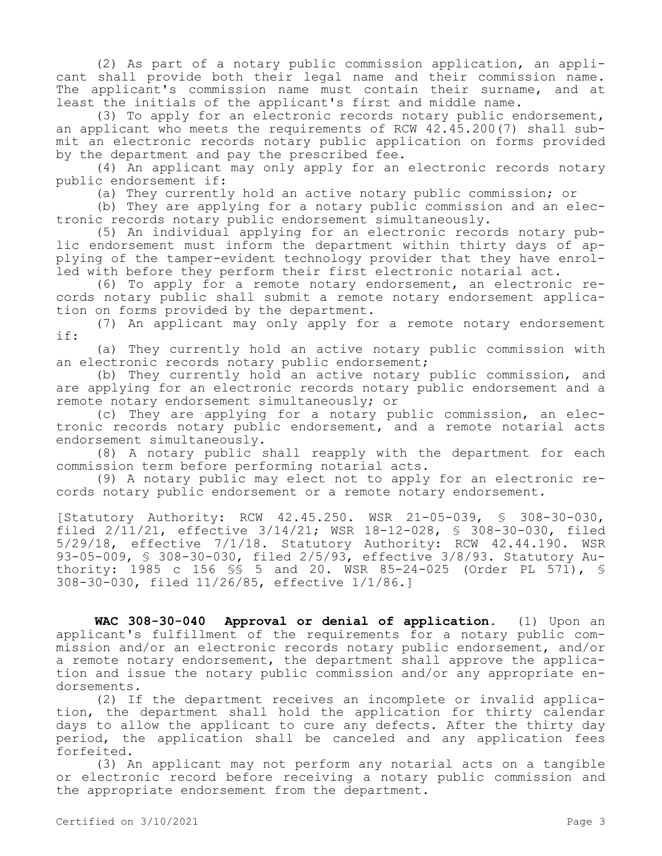(2) As part of a notary public commission application, an applicant shall provide both their legal name and their commission name. The applicant's commission name must contain their surname, and at least the initials of the applicant's first and middle name.

(3) To apply for an electronic records notary public endorsement, an applicant who meets the requirements of RCW 42.45.200(7) shall submit an electronic records notary public application on forms provided by the department and pay the prescribed fee.

(4) An applicant may only apply for an electronic records notary public endorsement if:

(a) They currently hold an active notary public commission; or

(b) They are applying for a notary public commission and an electronic records notary public endorsement simultaneously.

(5) An individual applying for an electronic records notary public endorsement must inform the department within thirty days of applying of the tamper-evident technology provider that they have enrolled with before they perform their first electronic notarial act.

(6) To apply for a remote notary endorsement, an electronic records notary public shall submit a remote notary endorsement application on forms provided by the department.

(7) An applicant may only apply for a remote notary endorsement if:

(a) They currently hold an active notary public commission with an electronic records notary public endorsement;

(b) They currently hold an active notary public commission, and are applying for an electronic records notary public endorsement and a remote notary endorsement simultaneously; or

(c) They are applying for a notary public commission, an electronic records notary public endorsement, and a remote notarial acts endorsement simultaneously.

(8) A notary public shall reapply with the department for each commission term before performing notarial acts.

(9) A notary public may elect not to apply for an electronic records notary public endorsement or a remote notary endorsement.

[Statutory Authority: RCW 42.45.250. WSR 21-05-039, § 308-30-030, filed 2/11/21, effective 3/14/21; WSR 18-12-028, § 308-30-030, filed 5/29/18, effective 7/1/18. Statutory Authority: RCW 42.44.190. WSR 93-05-009, § 308-30-030, filed 2/5/93, effective 3/8/93. Statutory Authority: 1985 c 156 \$\$ 5 and 20. WSR 85-24-025 (Order PL 571), \$ 308-30-030, filed 11/26/85, effective 1/1/86.]

**WAC 308-30-040 Approval or denial of application.** (1) Upon an applicant's fulfillment of the requirements for a notary public commission and/or an electronic records notary public endorsement, and/or a remote notary endorsement, the department shall approve the application and issue the notary public commission and/or any appropriate endorsements.

(2) If the department receives an incomplete or invalid application, the department shall hold the application for thirty calendar days to allow the applicant to cure any defects. After the thirty day period, the application shall be canceled and any application fees forfeited.

(3) An applicant may not perform any notarial acts on a tangible or electronic record before receiving a notary public commission and the appropriate endorsement from the department.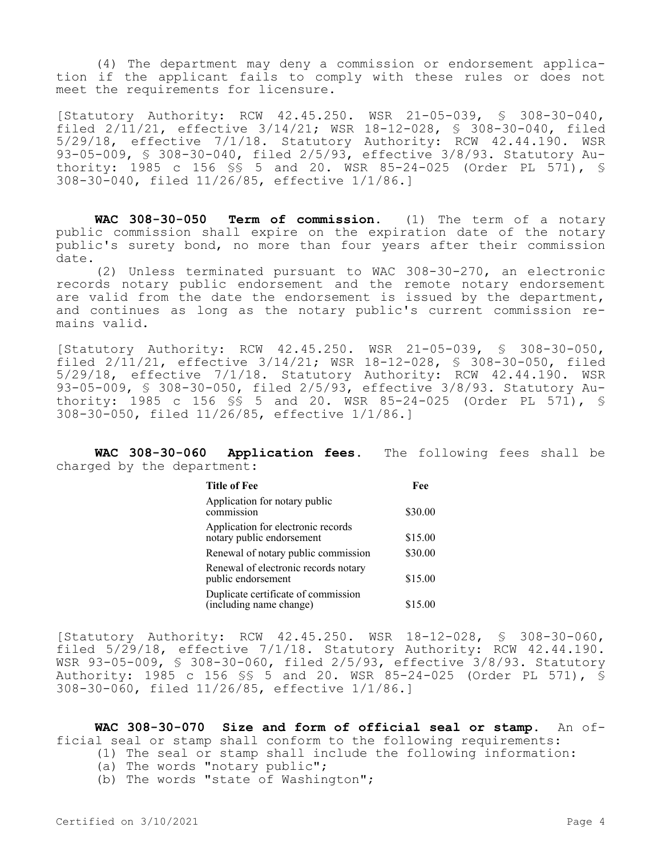(4) The department may deny a commission or endorsement application if the applicant fails to comply with these rules or does not meet the requirements for licensure.

[Statutory Authority: RCW 42.45.250. WSR 21-05-039, § 308-30-040, filed 2/11/21, effective 3/14/21; WSR 18-12-028, § 308-30-040, filed 5/29/18, effective 7/1/18. Statutory Authority: RCW 42.44.190. WSR 93-05-009, § 308-30-040, filed 2/5/93, effective 3/8/93. Statutory Authority: 1985 c 156 §§ 5 and 20. WSR 85-24-025 (Order PL 571), § 308-30-040, filed 11/26/85, effective 1/1/86.]

**WAC 308-30-050 Term of commission.** (1) The term of a notary public commission shall expire on the expiration date of the notary public's surety bond, no more than four years after their commission date.

(2) Unless terminated pursuant to WAC 308-30-270, an electronic records notary public endorsement and the remote notary endorsement are valid from the date the endorsement is issued by the department, and continues as long as the notary public's current commission remains valid.

[Statutory Authority: RCW 42.45.250. WSR 21-05-039, § 308-30-050, filed 2/11/21, effective 3/14/21; WSR 18-12-028, § 308-30-050, filed 5/29/18, effective 7/1/18. Statutory Authority: RCW 42.44.190. WSR 93-05-009, § 308-30-050, filed 2/5/93, effective 3/8/93. Statutory Authority: 1985 c 156 §§ 5 and 20. WSR 85-24-025 (Order PL 571), § 308-30-050, filed 11/26/85, effective 1/1/86.]

**WAC 308-30-060 Application fees.** The following fees shall be charged by the department:

| <b>Title of Fee</b>                                             | Fee     |  |
|-----------------------------------------------------------------|---------|--|
| Application for notary public<br>commission                     | \$30.00 |  |
| Application for electronic records<br>notary public endorsement | \$15.00 |  |
| Renewal of notary public commission                             | \$30.00 |  |
| Renewal of electronic records notary<br>public endorsement      | \$15.00 |  |
| Duplicate certificate of commission<br>(including name change)  | \$15.00 |  |

[Statutory Authority: RCW 42.45.250. WSR 18-12-028, § 308-30-060, filed 5/29/18, effective 7/1/18. Statutory Authority: RCW 42.44.190. WSR 93-05-009, § 308-30-060, filed 2/5/93, effective 3/8/93. Statutory Authority: 1985 c 156 §§ 5 and 20. WSR 85-24-025 (Order PL 571), § 308-30-060, filed 11/26/85, effective 1/1/86.]

**WAC 308-30-070 Size and form of official seal or stamp.** An official seal or stamp shall conform to the following requirements:

- (1) The seal or stamp shall include the following information:
- (a) The words "notary public";
- (b) The words "state of Washington";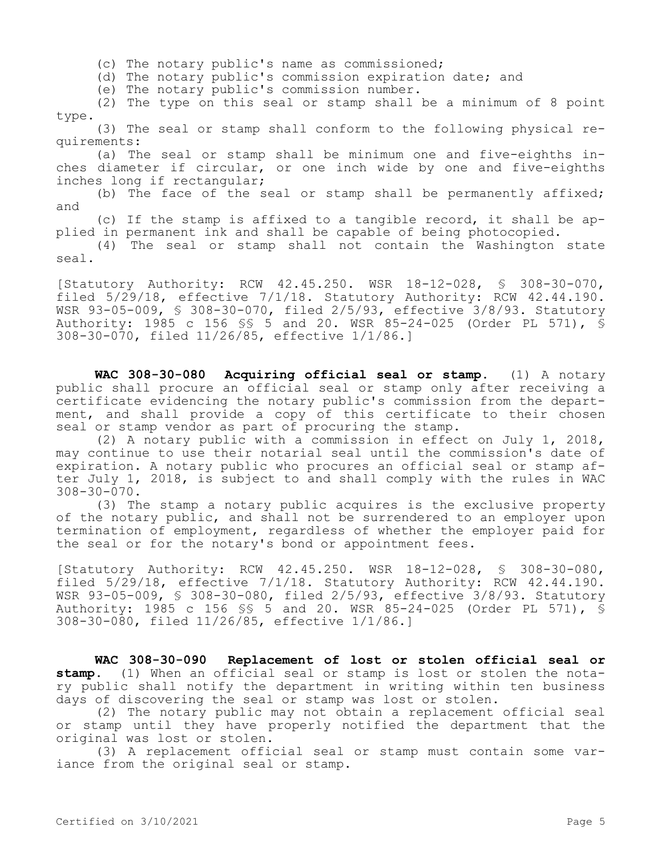(c) The notary public's name as commissioned;

(d) The notary public's commission expiration date; and

(e) The notary public's commission number.

(2) The type on this seal or stamp shall be a minimum of 8 point type.

(3) The seal or stamp shall conform to the following physical requirements:

(a) The seal or stamp shall be minimum one and five-eighths inches diameter if circular, or one inch wide by one and five-eighths inches long if rectangular;

(b) The face of the seal or stamp shall be permanently affixed; and

(c) If the stamp is affixed to a tangible record, it shall be applied in permanent ink and shall be capable of being photocopied.

(4) The seal or stamp shall not contain the Washington state seal.

[Statutory Authority: RCW 42.45.250. WSR 18-12-028, § 308-30-070, filed 5/29/18, effective 7/1/18. Statutory Authority: RCW 42.44.190. WSR 93-05-009, § 308-30-070, filed 2/5/93, effective 3/8/93. Statutory Authority: 1985 c 156 §§ 5 and 20. WSR 85-24-025 (Order PL 571), § 308-30-070, filed 11/26/85, effective 1/1/86.]

**WAC 308-30-080 Acquiring official seal or stamp.** (1) A notary public shall procure an official seal or stamp only after receiving a certificate evidencing the notary public's commission from the department, and shall provide a copy of this certificate to their chosen seal or stamp vendor as part of procuring the stamp.

(2) A notary public with a commission in effect on July 1, 2018, may continue to use their notarial seal until the commission's date of expiration. A notary public who procures an official seal or stamp after July 1, 2018, is subject to and shall comply with the rules in WAC 308-30-070.

(3) The stamp a notary public acquires is the exclusive property of the notary public, and shall not be surrendered to an employer upon termination of employment, regardless of whether the employer paid for the seal or for the notary's bond or appointment fees.

[Statutory Authority: RCW 42.45.250. WSR 18-12-028, § 308-30-080, filed 5/29/18, effective 7/1/18. Statutory Authority: RCW 42.44.190. WSR 93-05-009, § 308-30-080, filed 2/5/93, effective 3/8/93. Statutory Authority: 1985 c 156 §§ 5 and 20. WSR 85-24-025 (Order PL 571), § 308-30-080, filed 11/26/85, effective 1/1/86.]

**WAC 308-30-090 Replacement of lost or stolen official seal or stamp.** (1) When an official seal or stamp is lost or stolen the notary public shall notify the department in writing within ten business days of discovering the seal or stamp was lost or stolen.

(2) The notary public may not obtain a replacement official seal or stamp until they have properly notified the department that the original was lost or stolen.

(3) A replacement official seal or stamp must contain some variance from the original seal or stamp.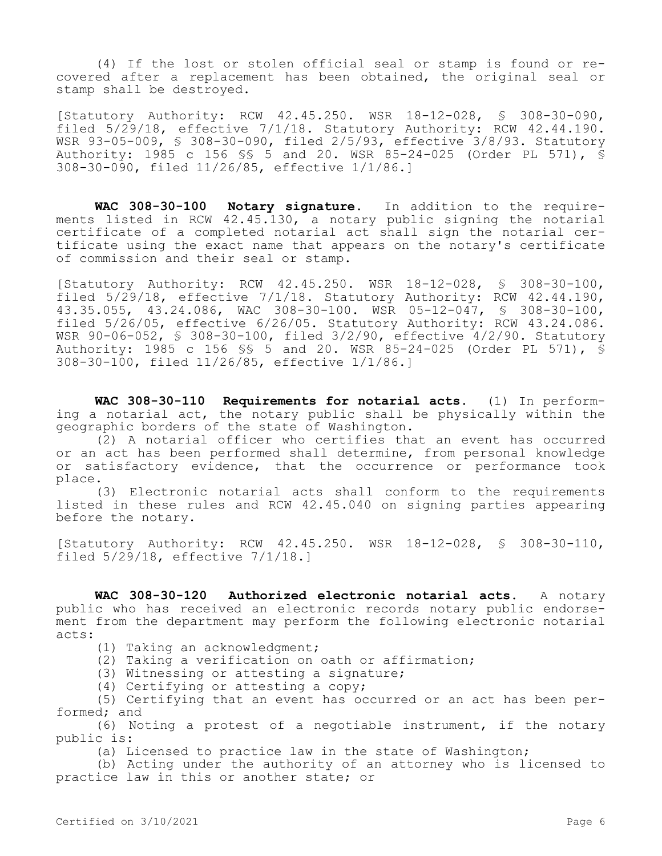(4) If the lost or stolen official seal or stamp is found or recovered after a replacement has been obtained, the original seal or stamp shall be destroyed.

[Statutory Authority: RCW 42.45.250. WSR 18-12-028, § 308-30-090, filed 5/29/18, effective 7/1/18. Statutory Authority: RCW 42.44.190. WSR 93-05-009, § 308-30-090, filed 2/5/93, effective 3/8/93. Statutory Authority: 1985 c 156 §§ 5 and 20. WSR 85-24-025 (Order PL 571), § 308-30-090, filed 11/26/85, effective 1/1/86.]

**WAC 308-30-100 Notary signature.** In addition to the requirements listed in RCW 42.45.130, a notary public signing the notarial certificate of a completed notarial act shall sign the notarial certificate using the exact name that appears on the notary's certificate of commission and their seal or stamp.

[Statutory Authority: RCW 42.45.250. WSR 18-12-028, § 308-30-100, filed  $5/29/18$ , effective  $7/1/18$ . Statutory Authority: RCW 42.44.190, 43.35.055, 43.24.086, WAC 308-30-100. WSR 05-12-047, § 308-30-100, filed 5/26/05, effective 6/26/05. Statutory Authority: RCW 43.24.086. WSR 90-06-052, § 308-30-100, filed 3/2/90, effective 4/2/90. Statutory Authority: 1985 c 156 §§ 5 and 20. WSR 85-24-025 (Order PL 571), § 308-30-100, filed 11/26/85, effective 1/1/86.]

**WAC 308-30-110 Requirements for notarial acts.** (1) In performing a notarial act, the notary public shall be physically within the geographic borders of the state of Washington.

(2) A notarial officer who certifies that an event has occurred or an act has been performed shall determine, from personal knowledge or satisfactory evidence, that the occurrence or performance took place.

(3) Electronic notarial acts shall conform to the requirements listed in these rules and RCW 42.45.040 on signing parties appearing before the notary.

[Statutory Authority: RCW 42.45.250. WSR 18-12-028, § 308-30-110, filed 5/29/18, effective 7/1/18.]

**WAC 308-30-120 Authorized electronic notarial acts.** A notary public who has received an electronic records notary public endorsement from the department may perform the following electronic notarial acts:

- (1) Taking an acknowledgment;
- (2) Taking a verification on oath or affirmation;
- (3) Witnessing or attesting a signature;
- (4) Certifying or attesting a copy;

(5) Certifying that an event has occurred or an act has been performed; and

(6) Noting a protest of a negotiable instrument, if the notary public is:

(a) Licensed to practice law in the state of Washington;

(b) Acting under the authority of an attorney who is licensed to practice law in this or another state; or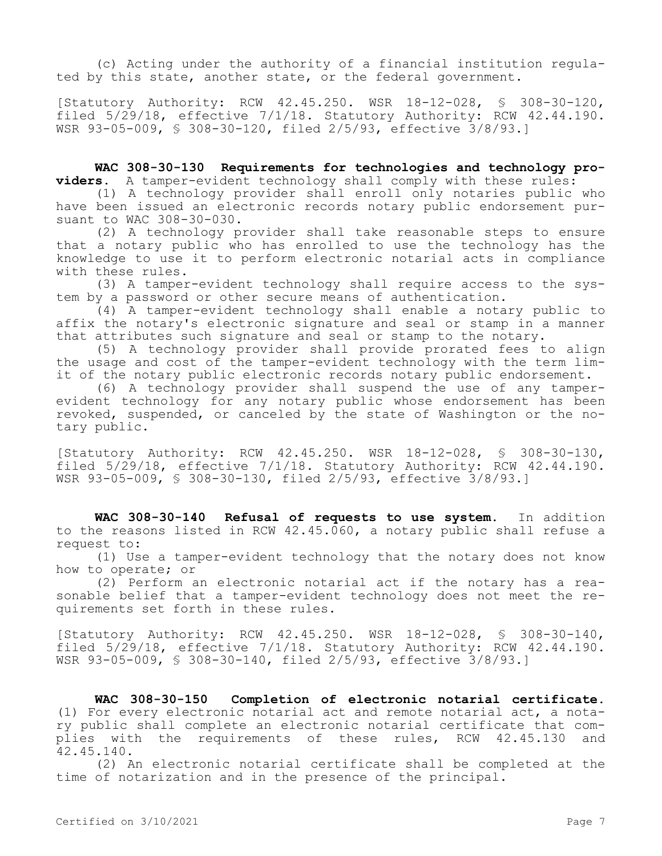(c) Acting under the authority of a financial institution regulated by this state, another state, or the federal government.

[Statutory Authority: RCW 42.45.250. WSR 18-12-028, § 308-30-120, filed 5/29/18, effective 7/1/18. Statutory Authority: RCW 42.44.190. WSR 93-05-009, § 308-30-120, filed 2/5/93, effective 3/8/93.]

**WAC 308-30-130 Requirements for technologies and technology providers.** A tamper-evident technology shall comply with these rules:

(1) A technology provider shall enroll only notaries public who have been issued an electronic records notary public endorsement pursuant to WAC 308-30-030.

(2) A technology provider shall take reasonable steps to ensure that a notary public who has enrolled to use the technology has the knowledge to use it to perform electronic notarial acts in compliance with these rules.

(3) A tamper-evident technology shall require access to the system by a password or other secure means of authentication.

(4) A tamper-evident technology shall enable a notary public to affix the notary's electronic signature and seal or stamp in a manner that attributes such signature and seal or stamp to the notary.

(5) A technology provider shall provide prorated fees to align the usage and cost of the tamper-evident technology with the term limit of the notary public electronic records notary public endorsement.

(6) A technology provider shall suspend the use of any tamperevident technology for any notary public whose endorsement has been revoked, suspended, or canceled by the state of Washington or the notary public.

[Statutory Authority: RCW 42.45.250. WSR 18-12-028, § 308-30-130, filed 5/29/18, effective 7/1/18. Statutory Authority: RCW 42.44.190. WSR 93-05-009, § 308-30-130, filed 2/5/93, effective 3/8/93.]

**WAC 308-30-140 Refusal of requests to use system.** In addition to the reasons listed in RCW 42.45.060, a notary public shall refuse a request to:

(1) Use a tamper-evident technology that the notary does not know how to operate; or

(2) Perform an electronic notarial act if the notary has a reasonable belief that a tamper-evident technology does not meet the requirements set forth in these rules.

[Statutory Authority: RCW 42.45.250. WSR 18-12-028, § 308-30-140, filed 5/29/18, effective 7/1/18. Statutory Authority: RCW 42.44.190. WSR 93-05-009, § 308-30-140, filed 2/5/93, effective 3/8/93.]

**WAC 308-30-150 Completion of electronic notarial certificate.**  (1) For every electronic notarial act and remote notarial act, a notary public shall complete an electronic notarial certificate that complies with the requirements of these rules, RCW 42.45.130 and 42.45.140.

(2) An electronic notarial certificate shall be completed at the time of notarization and in the presence of the principal.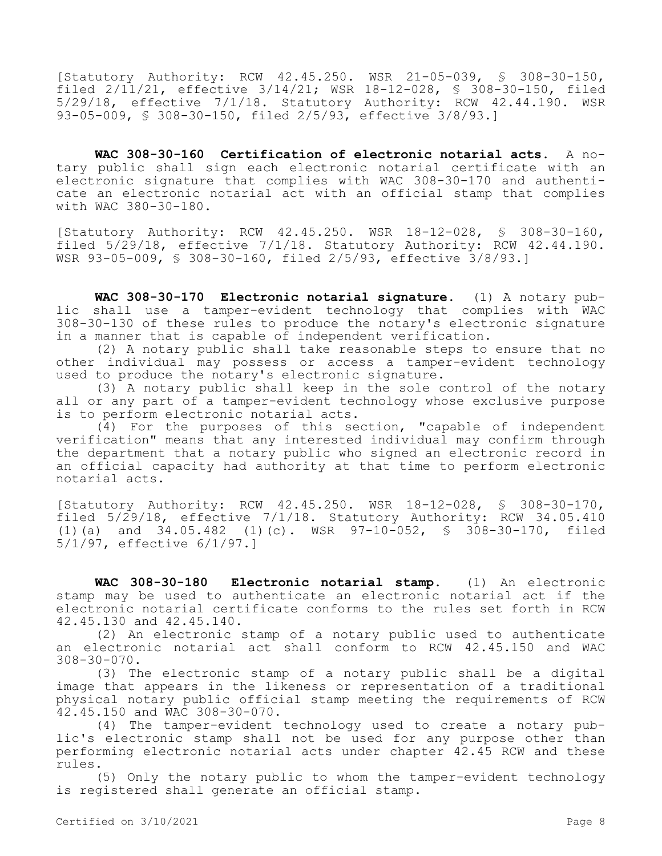[Statutory Authority: RCW 42.45.250. WSR 21-05-039, § 308-30-150, filed 2/11/21, effective 3/14/21; WSR 18-12-028, § 308-30-150, filed 5/29/18, effective 7/1/18. Statutory Authority: RCW 42.44.190. WSR 93-05-009, § 308-30-150, filed 2/5/93, effective 3/8/93.]

**WAC 308-30-160 Certification of electronic notarial acts.** A notary public shall sign each electronic notarial certificate with an electronic signature that complies with WAC 308-30-170 and authenticate an electronic notarial act with an official stamp that complies with WAC 380-30-180.

[Statutory Authority: RCW 42.45.250. WSR 18-12-028, § 308-30-160, filed 5/29/18, effective 7/1/18. Statutory Authority: RCW 42.44.190. WSR 93-05-009, § 308-30-160, filed 2/5/93, effective 3/8/93.]

**WAC 308-30-170 Electronic notarial signature.** (1) A notary public shall use a tamper-evident technology that complies with WAC 308-30-130 of these rules to produce the notary's electronic signature in a manner that is capable of independent verification.

(2) A notary public shall take reasonable steps to ensure that no other individual may possess or access a tamper-evident technology used to produce the notary's electronic signature.

(3) A notary public shall keep in the sole control of the notary all or any part of a tamper-evident technology whose exclusive purpose is to perform electronic notarial acts.

(4) For the purposes of this section, "capable of independent verification" means that any interested individual may confirm through the department that a notary public who signed an electronic record in an official capacity had authority at that time to perform electronic notarial acts.

[Statutory Authority: RCW 42.45.250. WSR 18-12-028, § 308-30-170, filed 5/29/18, effective 7/1/18. Statutory Authority: RCW 34.05.410 (1)(a) and 34.05.482 (1)(c). WSR 97-10-052, § 308-30-170, filed 5/1/97, effective 6/1/97.]

**WAC 308-30-180 Electronic notarial stamp.** (1) An electronic stamp may be used to authenticate an electronic notarial act if the electronic notarial certificate conforms to the rules set forth in RCW 42.45.130 and 42.45.140.

(2) An electronic stamp of a notary public used to authenticate an electronic notarial act shall conform to RCW 42.45.150 and WAC 308-30-070.

(3) The electronic stamp of a notary public shall be a digital image that appears in the likeness or representation of a traditional physical notary public official stamp meeting the requirements of RCW 42.45.150 and WAC 308-30-070.

(4) The tamper-evident technology used to create a notary public's electronic stamp shall not be used for any purpose other than performing electronic notarial acts under chapter 42.45 RCW and these rules.

(5) Only the notary public to whom the tamper-evident technology is registered shall generate an official stamp.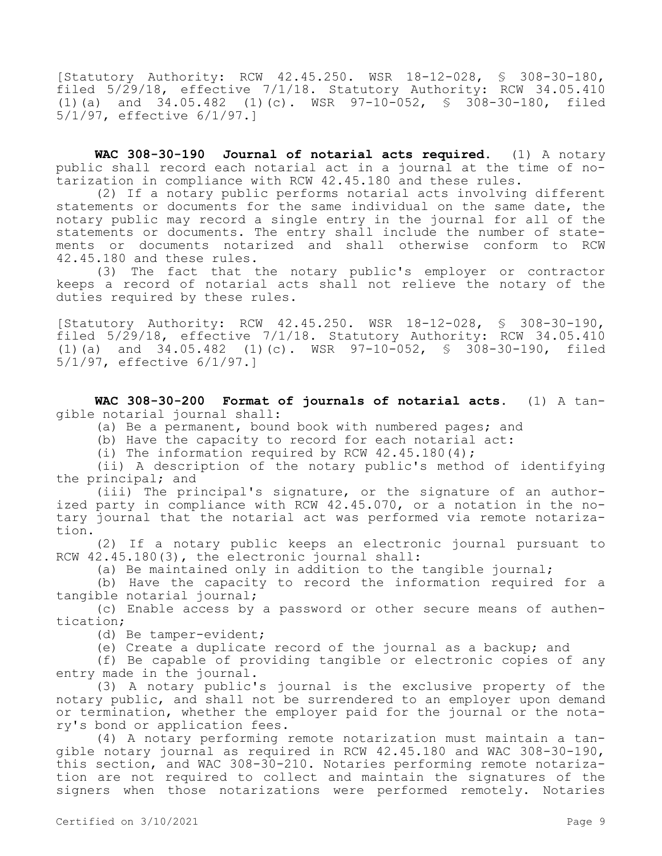[Statutory Authority: RCW 42.45.250. WSR 18-12-028, § 308-30-180, filed 5/29/18, effective 7/1/18. Statutory Authority: RCW 34.05.410 (1)(a) and 34.05.482 (1)(c). WSR 97-10-052, § 308-30-180, filed 5/1/97, effective 6/1/97.]

**WAC 308-30-190 Journal of notarial acts required.** (1) A notary public shall record each notarial act in a journal at the time of notarization in compliance with RCW 42.45.180 and these rules.

(2) If a notary public performs notarial acts involving different statements or documents for the same individual on the same date, the notary public may record a single entry in the journal for all of the statements or documents. The entry shall include the number of statements or documents notarized and shall otherwise conform to RCW 42.45.180 and these rules.

(3) The fact that the notary public's employer or contractor keeps a record of notarial acts shall not relieve the notary of the duties required by these rules.

[Statutory Authority: RCW 42.45.250. WSR 18-12-028, § 308-30-190, filed 5/29/18, effective 7/1/18. Statutory Authority: RCW 34.05.410 (1)(a) and 34.05.482 (1)(c). WSR 97-10-052, § 308-30-190, filed 5/1/97, effective 6/1/97.]

**WAC 308-30-200 Format of journals of notarial acts.** (1) A tangible notarial journal shall:

(a) Be a permanent, bound book with numbered pages; and

(b) Have the capacity to record for each notarial act:

(i) The information required by RCW 42.45.180(4);

(ii) A description of the notary public's method of identifying the principal; and

(iii) The principal's signature, or the signature of an authorized party in compliance with RCW 42.45.070, or a notation in the notary journal that the notarial act was performed via remote notarization.

(2) If a notary public keeps an electronic journal pursuant to RCW 42.45.180(3), the electronic journal shall:

(a) Be maintained only in addition to the tangible journal;

(b) Have the capacity to record the information required for a tangible notarial journal;

(c) Enable access by a password or other secure means of authentication;

(d) Be tamper-evident;

(e) Create a duplicate record of the journal as a backup; and

(f) Be capable of providing tangible or electronic copies of any entry made in the journal.

(3) A notary public's journal is the exclusive property of the notary public, and shall not be surrendered to an employer upon demand or termination, whether the employer paid for the journal or the notary's bond or application fees.

(4) A notary performing remote notarization must maintain a tangible notary journal as required in RCW 42.45.180 and WAC 308-30-190, this section, and WAC 308-30-210. Notaries performing remote notarization are not required to collect and maintain the signatures of the signers when those notarizations were performed remotely. Notaries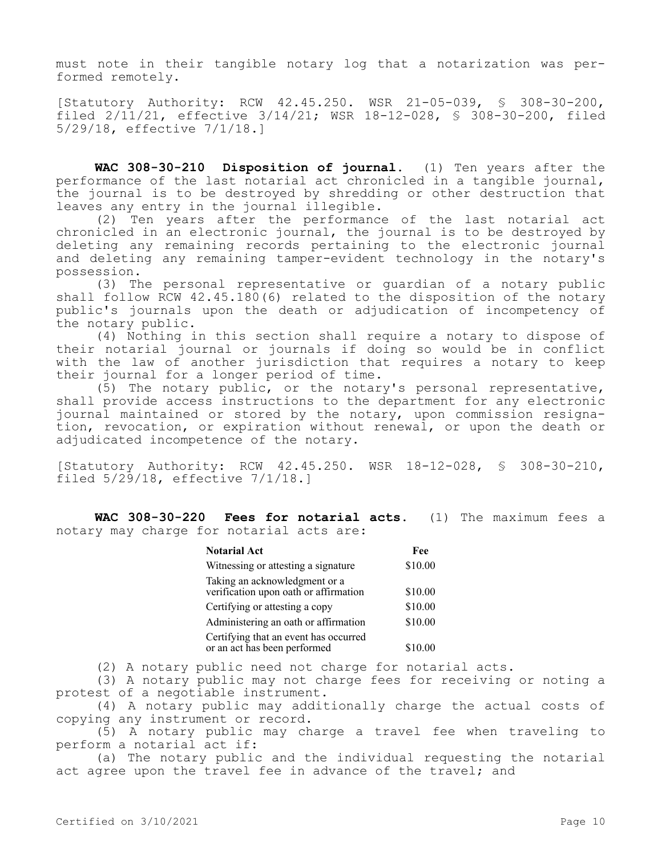must note in their tangible notary log that a notarization was performed remotely.

[Statutory Authority: RCW 42.45.250. WSR 21-05-039, § 308-30-200, filed 2/11/21, effective 3/14/21; WSR 18-12-028, § 308-30-200, filed 5/29/18, effective 7/1/18.]

**WAC 308-30-210 Disposition of journal.** (1) Ten years after the performance of the last notarial act chronicled in a tangible journal, the journal is to be destroyed by shredding or other destruction that leaves any entry in the journal illegible.

(2) Ten years after the performance of the last notarial act chronicled in an electronic journal, the journal is to be destroyed by deleting any remaining records pertaining to the electronic journal and deleting any remaining tamper-evident technology in the notary's possession.

(3) The personal representative or guardian of a notary public shall follow RCW 42.45.180(6) related to the disposition of the notary public's journals upon the death or adjudication of incompetency of the notary public.

(4) Nothing in this section shall require a notary to dispose of their notarial journal or journals if doing so would be in conflict with the law of another jurisdiction that requires a notary to keep their journal for a longer period of time.

(5) The notary public, or the notary's personal representative, shall provide access instructions to the department for any electronic journal maintained or stored by the notary, upon commission resignation, revocation, or expiration without renewal, or upon the death or adjudicated incompetence of the notary.

[Statutory Authority: RCW 42.45.250. WSR 18-12-028, § 308-30-210, filed 5/29/18, effective 7/1/18.]

**WAC 308-30-220 Fees for notarial acts.** (1) The maximum fees a notary may charge for notarial acts are:

| <b>Notarial Act</b>                                                    | Fee     |  |
|------------------------------------------------------------------------|---------|--|
| Witnessing or attesting a signature                                    | \$10.00 |  |
| Taking an acknowledgment or a<br>verification upon oath or affirmation | \$10.00 |  |
| Certifying or attesting a copy                                         | \$10.00 |  |
| Administering an oath or affirmation                                   | \$10.00 |  |
| Certifying that an event has occurred<br>or an act has been performed  | \$10.00 |  |

(2) A notary public need not charge for notarial acts.

(3) A notary public may not charge fees for receiving or noting a protest of a negotiable instrument.

(4) A notary public may additionally charge the actual costs of copying any instrument or record.

(5) A notary public may charge a travel fee when traveling to perform a notarial act if:

(a) The notary public and the individual requesting the notarial act agree upon the travel fee in advance of the travel; and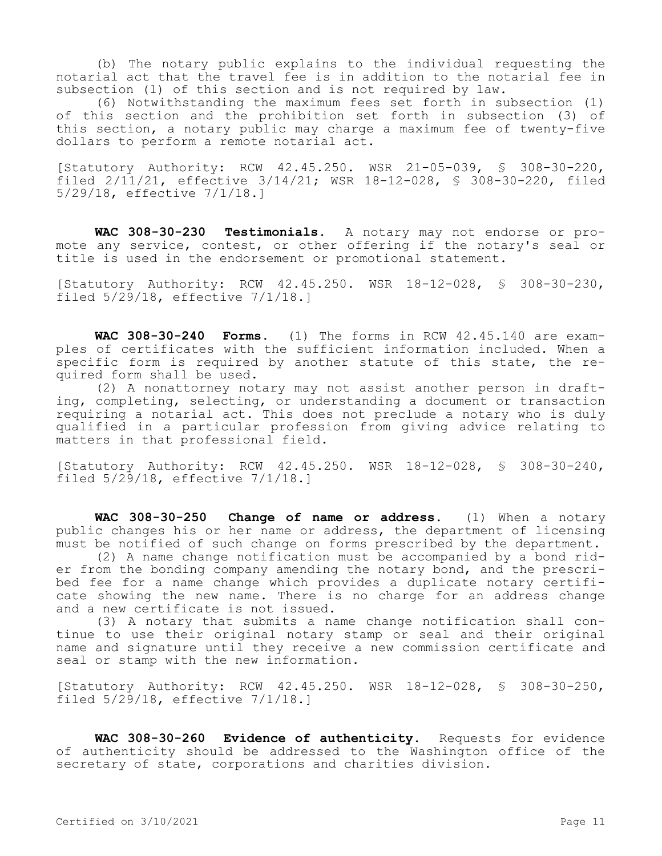(b) The notary public explains to the individual requesting the notarial act that the travel fee is in addition to the notarial fee in subsection (1) of this section and is not required by law.

(6) Notwithstanding the maximum fees set forth in subsection (1) of this section and the prohibition set forth in subsection (3) of this section, a notary public may charge a maximum fee of twenty-five dollars to perform a remote notarial act.

[Statutory Authority: RCW 42.45.250. WSR 21-05-039, § 308-30-220, filed 2/11/21, effective 3/14/21; WSR 18-12-028, § 308-30-220, filed 5/29/18, effective 7/1/18.]

**WAC 308-30-230 Testimonials.** A notary may not endorse or promote any service, contest, or other offering if the notary's seal or title is used in the endorsement or promotional statement.

[Statutory Authority: RCW 42.45.250. WSR 18-12-028, § 308-30-230, filed 5/29/18, effective 7/1/18.]

**WAC 308-30-240 Forms.** (1) The forms in RCW 42.45.140 are examples of certificates with the sufficient information included. When a specific form is required by another statute of this state, the required form shall be used.

(2) A nonattorney notary may not assist another person in drafting, completing, selecting, or understanding a document or transaction requiring a notarial act. This does not preclude a notary who is duly qualified in a particular profession from giving advice relating to matters in that professional field.

[Statutory Authority: RCW 42.45.250. WSR 18-12-028, § 308-30-240, filed 5/29/18, effective 7/1/18.]

**WAC 308-30-250 Change of name or address.** (1) When a notary public changes his or her name or address, the department of licensing must be notified of such change on forms prescribed by the department.

(2) A name change notification must be accompanied by a bond rider from the bonding company amending the notary bond, and the prescribed fee for a name change which provides a duplicate notary certificate showing the new name. There is no charge for an address change and a new certificate is not issued.

(3) A notary that submits a name change notification shall continue to use their original notary stamp or seal and their original name and signature until they receive a new commission certificate and seal or stamp with the new information.

[Statutory Authority: RCW 42.45.250. WSR 18-12-028, § 308-30-250, filed 5/29/18, effective 7/1/18.]

**WAC 308-30-260 Evidence of authenticity.** Requests for evidence of authenticity should be addressed to the Washington office of the secretary of state, corporations and charities division.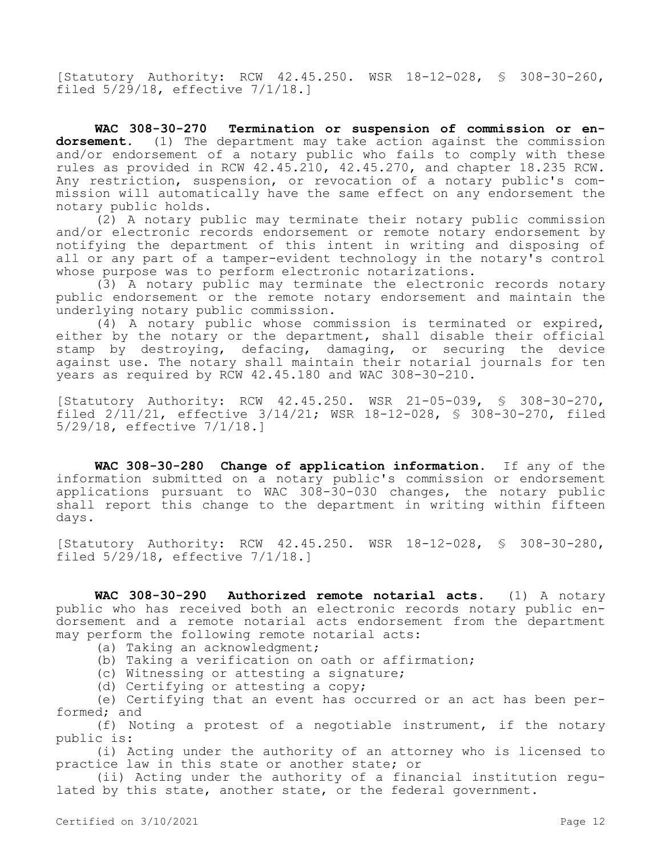[Statutory Authority: RCW 42.45.250. WSR 18-12-028, § 308-30-260, filed 5/29/18, effective 7/1/18.]

**WAC 308-30-270 Termination or suspension of commission or endorsement.** (1) The department may take action against the commission and/or endorsement of a notary public who fails to comply with these rules as provided in RCW 42.45.210, 42.45.270, and chapter 18.235 RCW. Any restriction, suspension, or revocation of a notary public's commission will automatically have the same effect on any endorsement the notary public holds.

(2) A notary public may terminate their notary public commission and/or electronic records endorsement or remote notary endorsement by notifying the department of this intent in writing and disposing of all or any part of a tamper-evident technology in the notary's control whose purpose was to perform electronic notarizations.

(3) A notary public may terminate the electronic records notary public endorsement or the remote notary endorsement and maintain the underlying notary public commission.

(4) A notary public whose commission is terminated or expired, either by the notary or the department, shall disable their official stamp by destroying, defacing, damaging, or securing the device against use. The notary shall maintain their notarial journals for ten years as required by RCW 42.45.180 and WAC 308-30-210.

[Statutory Authority: RCW 42.45.250. WSR 21-05-039, § 308-30-270, filed 2/11/21, effective 3/14/21; WSR 18-12-028, § 308-30-270, filed 5/29/18, effective 7/1/18.]

**WAC 308-30-280 Change of application information.** If any of the information submitted on a notary public's commission or endorsement applications pursuant to WAC 308-30-030 changes, the notary public shall report this change to the department in writing within fifteen days.

[Statutory Authority: RCW 42.45.250. WSR 18-12-028, § 308-30-280, filed 5/29/18, effective 7/1/18.]

**WAC 308-30-290 Authorized remote notarial acts.** (1) A notary public who has received both an electronic records notary public endorsement and a remote notarial acts endorsement from the department may perform the following remote notarial acts:

- (a) Taking an acknowledgment;
- (b) Taking a verification on oath or affirmation;
- (c) Witnessing or attesting a signature;
- (d) Certifying or attesting a copy;

(e) Certifying that an event has occurred or an act has been performed; and

(f) Noting a protest of a negotiable instrument, if the notary public is:

(i) Acting under the authority of an attorney who is licensed to practice law in this state or another state; or

(ii) Acting under the authority of a financial institution regulated by this state, another state, or the federal government.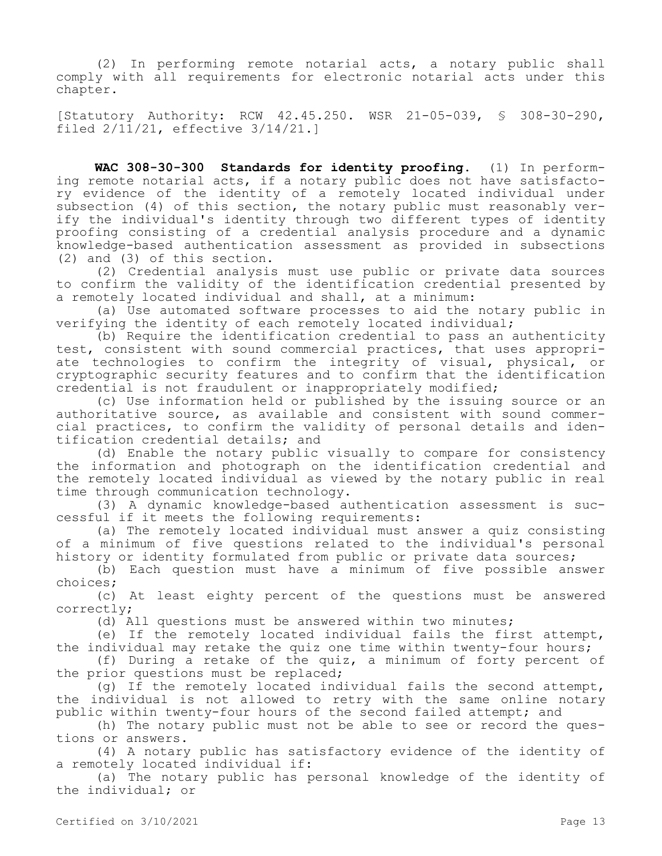(2) In performing remote notarial acts, a notary public shall comply with all requirements for electronic notarial acts under this chapter.

[Statutory Authority: RCW 42.45.250. WSR 21-05-039, § 308-30-290, filed 2/11/21, effective 3/14/21.]

**WAC 308-30-300 Standards for identity proofing.** (1) In performing remote notarial acts, if a notary public does not have satisfactory evidence of the identity of a remotely located individual under subsection (4) of this section, the notary public must reasonably verify the individual's identity through two different types of identity proofing consisting of a credential analysis procedure and a dynamic knowledge-based authentication assessment as provided in subsections (2) and (3) of this section.

(2) Credential analysis must use public or private data sources to confirm the validity of the identification credential presented by a remotely located individual and shall, at a minimum:

(a) Use automated software processes to aid the notary public in verifying the identity of each remotely located individual;

(b) Require the identification credential to pass an authenticity test, consistent with sound commercial practices, that uses appropriate technologies to confirm the integrity of visual, physical, or cryptographic security features and to confirm that the identification credential is not fraudulent or inappropriately modified;

(c) Use information held or published by the issuing source or an authoritative source, as available and consistent with sound commercial practices, to confirm the validity of personal details and identification credential details; and

(d) Enable the notary public visually to compare for consistency the information and photograph on the identification credential and the remotely located individual as viewed by the notary public in real time through communication technology.

(3) A dynamic knowledge-based authentication assessment is successful if it meets the following requirements:

(a) The remotely located individual must answer a quiz consisting of a minimum of five questions related to the individual's personal history or identity formulated from public or private data sources;

(b) Each question must have a minimum of five possible answer choices;

(c) At least eighty percent of the questions must be answered correctly;

(d) All questions must be answered within two minutes;

(e) If the remotely located individual fails the first attempt, the individual may retake the quiz one time within twenty-four hours;

(f) During a retake of the quiz, a minimum of forty percent of the prior questions must be replaced;

(g) If the remotely located individual fails the second attempt, the individual is not allowed to retry with the same online notary public within twenty-four hours of the second failed attempt; and

(h) The notary public must not be able to see or record the questions or answers.

(4) A notary public has satisfactory evidence of the identity of a remotely located individual if:

(a) The notary public has personal knowledge of the identity of the individual; or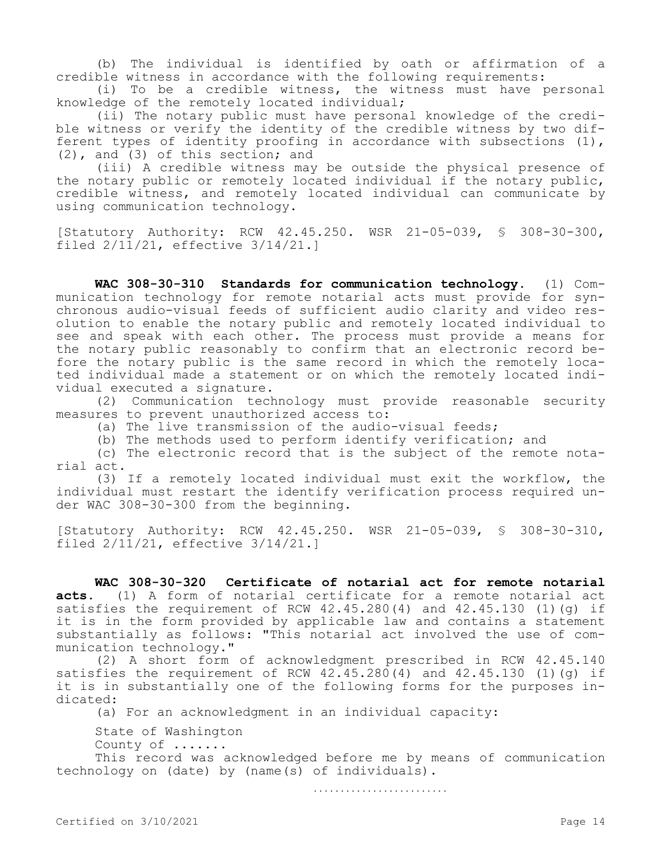(b) The individual is identified by oath or affirmation of a credible witness in accordance with the following requirements:

(i) To be a credible witness, the witness must have personal knowledge of the remotely located individual;

(ii) The notary public must have personal knowledge of the credible witness or verify the identity of the credible witness by two different types of identity proofing in accordance with subsections (1), (2), and (3) of this section; and

(iii) A credible witness may be outside the physical presence of the notary public or remotely located individual if the notary public, credible witness, and remotely located individual can communicate by using communication technology.

[Statutory Authority: RCW 42.45.250. WSR 21-05-039, § 308-30-300, filed 2/11/21, effective 3/14/21.]

**WAC 308-30-310 Standards for communication technology.** (1) Communication technology for remote notarial acts must provide for synchronous audio-visual feeds of sufficient audio clarity and video resolution to enable the notary public and remotely located individual to see and speak with each other. The process must provide a means for the notary public reasonably to confirm that an electronic record before the notary public is the same record in which the remotely located individual made a statement or on which the remotely located individual executed a signature.

(2) Communication technology must provide reasonable security measures to prevent unauthorized access to:

(a) The live transmission of the audio-visual feeds;

(b) The methods used to perform identify verification; and

(c) The electronic record that is the subject of the remote notarial act.

(3) If a remotely located individual must exit the workflow, the individual must restart the identify verification process required under WAC 308-30-300 from the beginning.

[Statutory Authority: RCW 42.45.250. WSR 21-05-039, § 308-30-310, filed 2/11/21, effective 3/14/21.]

**WAC 308-30-320 Certificate of notarial act for remote notarial acts.** (1) A form of notarial certificate for a remote notarial act satisfies the requirement of RCW  $42.45.280(4)$  and  $42.45.130(1)(q)$  if it is in the form provided by applicable law and contains a statement substantially as follows: "This notarial act involved the use of communication technology."

(2) A short form of acknowledgment prescribed in RCW 42.45.140 satisfies the requirement of RCW  $42.45.280(4)$  and  $42.45.130$  (1)(g) if it is in substantially one of the following forms for the purposes indicated:

(a) For an acknowledgment in an individual capacity:

State of Washington

County of .......

This record was acknowledged before me by means of communication technology on (date) by (name(s) of individuals).

. . . . . . . . . . . . . . . . . . . . . . . . .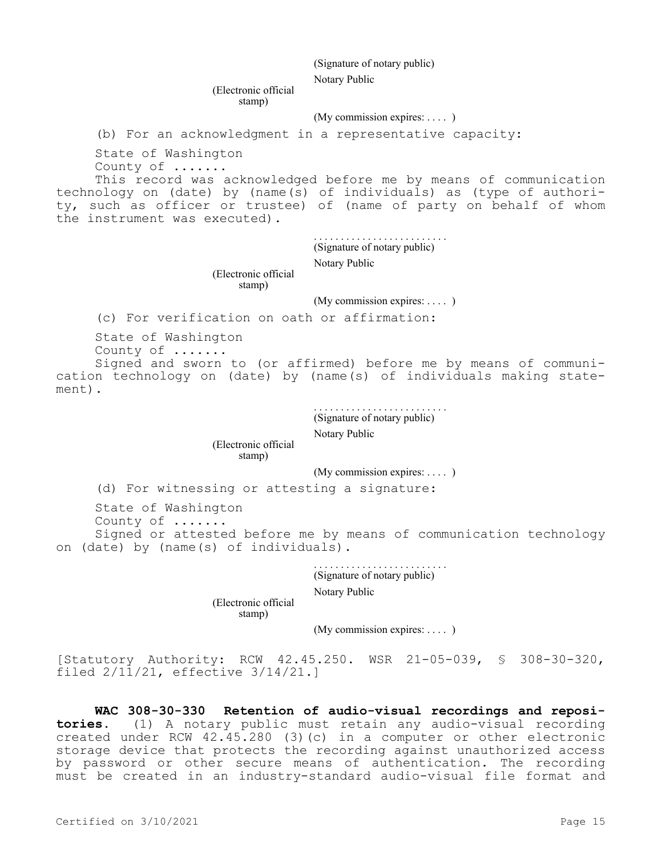(Signature of notary public)

Notary Public

(Electronic official stamp)

(My commission expires: . . . . )

(b) For an acknowledgment in a representative capacity:

State of Washington

County of .......

This record was acknowledged before me by means of communication technology on (date) by (name(s) of individuals) as (type of authority, such as officer or trustee) of (name of party on behalf of whom the instrument was executed).

> . . . . . . . . . . . . . . . . . . . . . . . . . (Signature of notary public)

Notary Public

(Electronic official stamp)

(My commission expires: ....)

(c) For verification on oath or affirmation:

State of Washington County of .......

Signed and sworn to (or affirmed) before me by means of communication technology on (date) by (name(s) of individuals making statement).

> . . . . . . . . . . . . . . . . . . . . . . . . . (Signature of notary public)

Notary Public

(Electronic official

stamp)

(My commission expires: . . . . )

(d) For witnessing or attesting a signature:

State of Washington

County of .......

Signed or attested before me by means of communication technology on (date) by (name(s) of individuals).

> . . . . . . . . . . . . . . . . . . . . . . . . . (Signature of notary public)

Notary Public

(Electronic official stamp)

(My commission expires: ....)

[Statutory Authority: RCW 42.45.250. WSR 21-05-039, § 308-30-320, filed 2/11/21, effective 3/14/21.]

**WAC 308-30-330 Retention of audio-visual recordings and repositories.** (1) A notary public must retain any audio-visual recording created under RCW 42.45.280 (3)(c) in a computer or other electronic storage device that protects the recording against unauthorized access by password or other secure means of authentication. The recording must be created in an industry-standard audio-visual file format and